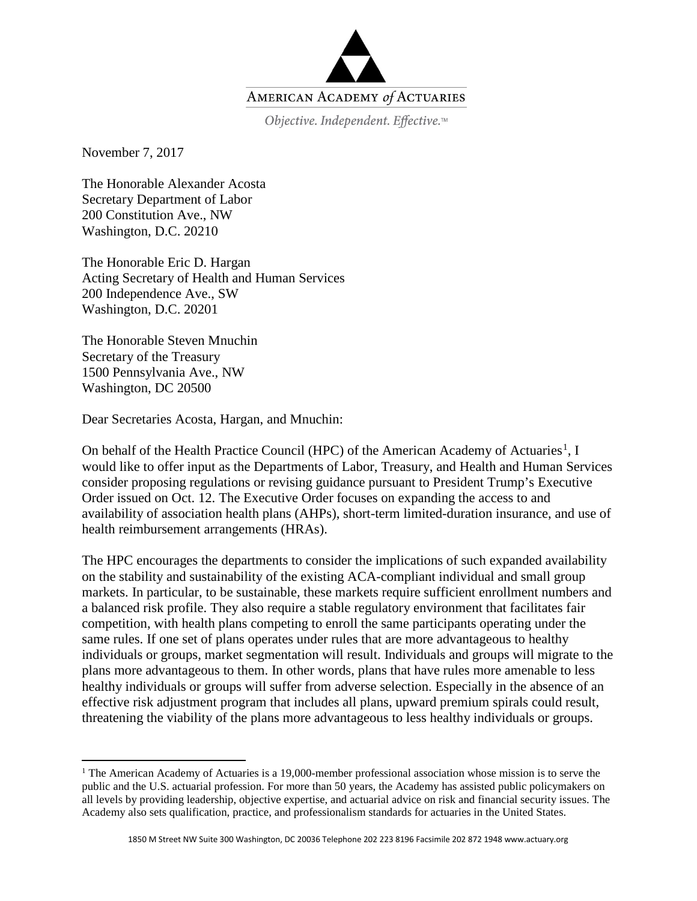

Objective. Independent. Effective.™

November 7, 2017

The Honorable Alexander Acosta Secretary Department of Labor 200 Constitution Ave., NW Washington, D.C. 20210

The Honorable Eric D. Hargan Acting Secretary of Health and Human Services 200 Independence Ave., SW Washington, D.C. 20201

The Honorable Steven Mnuchin Secretary of the Treasury 1500 Pennsylvania Ave., NW Washington, DC 20500

 $\overline{a}$ 

Dear Secretaries Acosta, Hargan, and Mnuchin:

On behalf of the Health Practice Council (HPC) of the American Academy of Actuaries<sup>[1](#page-0-0)</sup>, I would like to offer input as the Departments of Labor, Treasury, and Health and Human Services consider proposing regulations or revising guidance pursuant to President Trump's Executive Order issued on Oct. 12. The Executive Order focuses on expanding the access to and availability of association health plans (AHPs), short-term limited-duration insurance, and use of health reimbursement arrangements (HRAs).

The HPC encourages the departments to consider the implications of such expanded availability on the stability and sustainability of the existing ACA-compliant individual and small group markets. In particular, to be sustainable, these markets require sufficient enrollment numbers and a balanced risk profile. They also require a stable regulatory environment that facilitates fair competition, with health plans competing to enroll the same participants operating under the same rules. If one set of plans operates under rules that are more advantageous to healthy individuals or groups, market segmentation will result. Individuals and groups will migrate to the plans more advantageous to them. In other words, plans that have rules more amenable to less healthy individuals or groups will suffer from adverse selection. Especially in the absence of an effective risk adjustment program that includes all plans, upward premium spirals could result, threatening the viability of the plans more advantageous to less healthy individuals or groups.

<span id="page-0-0"></span><sup>&</sup>lt;sup>1</sup> The American Academy of Actuaries is a 19,000-member professional association whose mission is to serve the public and the U.S. actuarial profession. For more than 50 years, the Academy has assisted public policymakers on all levels by providing leadership, objective expertise, and actuarial advice on risk and financial security issues. The Academy also sets qualification, practice, and professionalism standards for actuaries in the United States.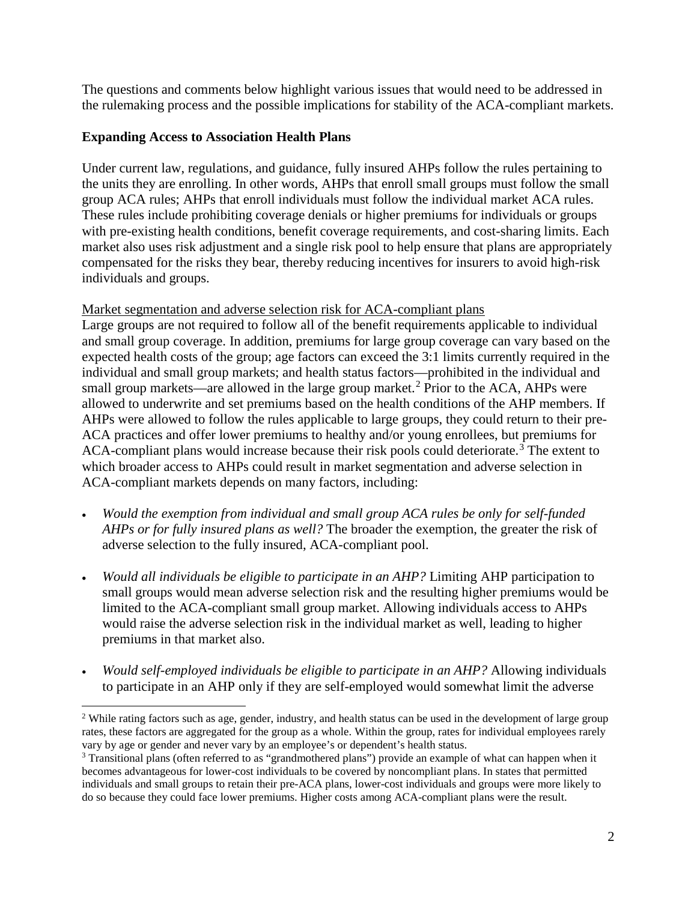The questions and comments below highlight various issues that would need to be addressed in the rulemaking process and the possible implications for stability of the ACA-compliant markets.

# **Expanding Access to Association Health Plans**

 $\overline{a}$ 

Under current law, regulations, and guidance, fully insured AHPs follow the rules pertaining to the units they are enrolling. In other words, AHPs that enroll small groups must follow the small group ACA rules; AHPs that enroll individuals must follow the individual market ACA rules. These rules include prohibiting coverage denials or higher premiums for individuals or groups with pre-existing health conditions, benefit coverage requirements, and cost-sharing limits. Each market also uses risk adjustment and a single risk pool to help ensure that plans are appropriately compensated for the risks they bear, thereby reducing incentives for insurers to avoid high-risk individuals and groups.

### Market segmentation and adverse selection risk for ACA-compliant plans

Large groups are not required to follow all of the benefit requirements applicable to individual and small group coverage. In addition, premiums for large group coverage can vary based on the expected health costs of the group; age factors can exceed the 3:1 limits currently required in the individual and small group markets; and health status factors—prohibited in the individual and small group markets—are allowed in the large group market.<sup>[2](#page-1-0)</sup> Prior to the ACA, AHPs were allowed to underwrite and set premiums based on the health conditions of the AHP members. If AHPs were allowed to follow the rules applicable to large groups, they could return to their pre-ACA practices and offer lower premiums to healthy and/or young enrollees, but premiums for ACA-compliant plans would increase because their risk pools could deteriorate.<sup>[3](#page-1-1)</sup> The extent to which broader access to AHPs could result in market segmentation and adverse selection in ACA-compliant markets depends on many factors, including:

- *Would the exemption from individual and small group ACA rules be only for self-funded AHPs or for fully insured plans as well?* The broader the exemption, the greater the risk of adverse selection to the fully insured, ACA-compliant pool.
- *Would all individuals be eligible to participate in an AHP?* Limiting AHP participation to small groups would mean adverse selection risk and the resulting higher premiums would be limited to the ACA-compliant small group market. Allowing individuals access to AHPs would raise the adverse selection risk in the individual market as well, leading to higher premiums in that market also.
- *Would self-employed individuals be eligible to participate in an AHP?* Allowing individuals to participate in an AHP only if they are self-employed would somewhat limit the adverse

<span id="page-1-0"></span><sup>&</sup>lt;sup>2</sup> While rating factors such as age, gender, industry, and health status can be used in the development of large group rates, these factors are aggregated for the group as a whole. Within the group, rates for individual employees rarely vary by age or gender and never vary by an employee's or dependent's health status.

<span id="page-1-1"></span><sup>&</sup>lt;sup>3</sup> Transitional plans (often referred to as "grandmothered plans") provide an example of what can happen when it becomes advantageous for lower-cost individuals to be covered by noncompliant plans. In states that permitted individuals and small groups to retain their pre-ACA plans, lower-cost individuals and groups were more likely to do so because they could face lower premiums. Higher costs among ACA-compliant plans were the result.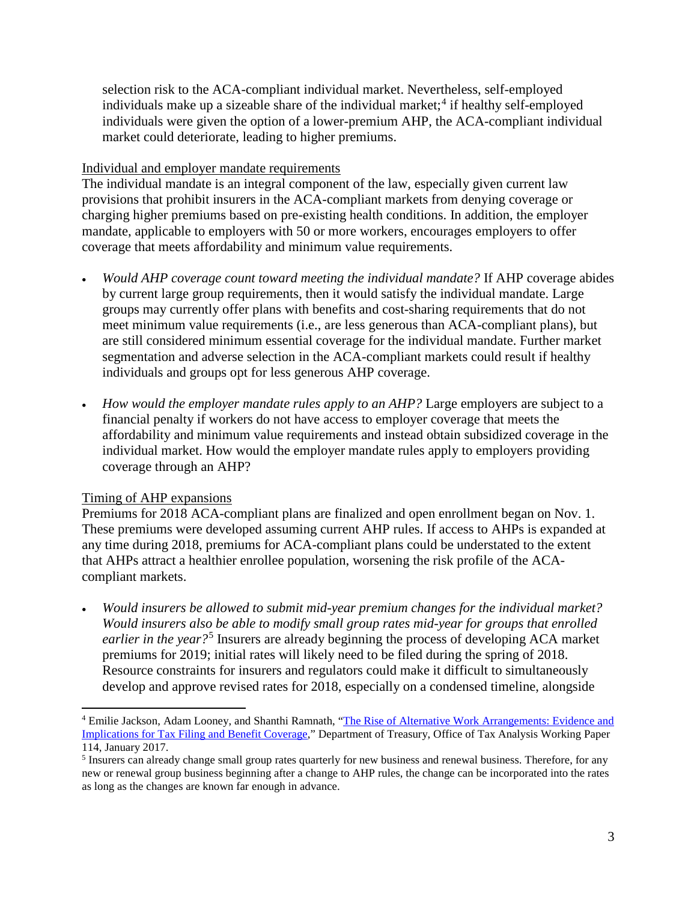selection risk to the ACA-compliant individual market. Nevertheless, self-employed individuals make up a sizeable share of the individual market; [4](#page-2-0) if healthy self-employed individuals were given the option of a lower-premium AHP, the ACA-compliant individual market could deteriorate, leading to higher premiums.

### Individual and employer mandate requirements

The individual mandate is an integral component of the law, especially given current law provisions that prohibit insurers in the ACA-compliant markets from denying coverage or charging higher premiums based on pre-existing health conditions. In addition, the employer mandate, applicable to employers with 50 or more workers, encourages employers to offer coverage that meets affordability and minimum value requirements.

- *Would AHP coverage count toward meeting the individual mandate?* If AHP coverage abides by current large group requirements, then it would satisfy the individual mandate. Large groups may currently offer plans with benefits and cost-sharing requirements that do not meet minimum value requirements (i.e., are less generous than ACA-compliant plans), but are still considered minimum essential coverage for the individual mandate. Further market segmentation and adverse selection in the ACA-compliant markets could result if healthy individuals and groups opt for less generous AHP coverage.
- *How would the employer mandate rules apply to an AHP?* Large employers are subject to a financial penalty if workers do not have access to employer coverage that meets the affordability and minimum value requirements and instead obtain subsidized coverage in the individual market. How would the employer mandate rules apply to employers providing coverage through an AHP?

# Timing of AHP expansions

l

Premiums for 2018 ACA-compliant plans are finalized and open enrollment began on Nov. 1. These premiums were developed assuming current AHP rules. If access to AHPs is expanded at any time during 2018, premiums for ACA-compliant plans could be understated to the extent that AHPs attract a healthier enrollee population, worsening the risk profile of the ACAcompliant markets.

• *Would insurers be allowed to submit mid-year premium changes for the individual market? Would insurers also be able to modify small group rates mid-year for groups that enrolled earlier in the year?*[5](#page-2-1) Insurers are already beginning the process of developing ACA market premiums for 2019; initial rates will likely need to be filed during the spring of 2018. Resource constraints for insurers and regulators could make it difficult to simultaneously develop and approve revised rates for 2018, especially on a condensed timeline, alongside

<span id="page-2-0"></span><sup>4</sup> Emilie Jackson, Adam Looney, and Shanthi Ramnath, ["The Rise of Alternative Work Arrangements: Evidence and](https://www.treasury.gov/resource-center/tax-policy/tax-analysis/Documents/WP-114.pdf)  [Implications for Tax Filing and Benefit Coverage,"](https://www.treasury.gov/resource-center/tax-policy/tax-analysis/Documents/WP-114.pdf) Department of Treasury, Office of Tax Analysis Working Paper 114, January 2017.

<span id="page-2-1"></span><sup>&</sup>lt;sup>5</sup> Insurers can already change small group rates quarterly for new business and renewal business. Therefore, for any new or renewal group business beginning after a change to AHP rules, the change can be incorporated into the rates as long as the changes are known far enough in advance.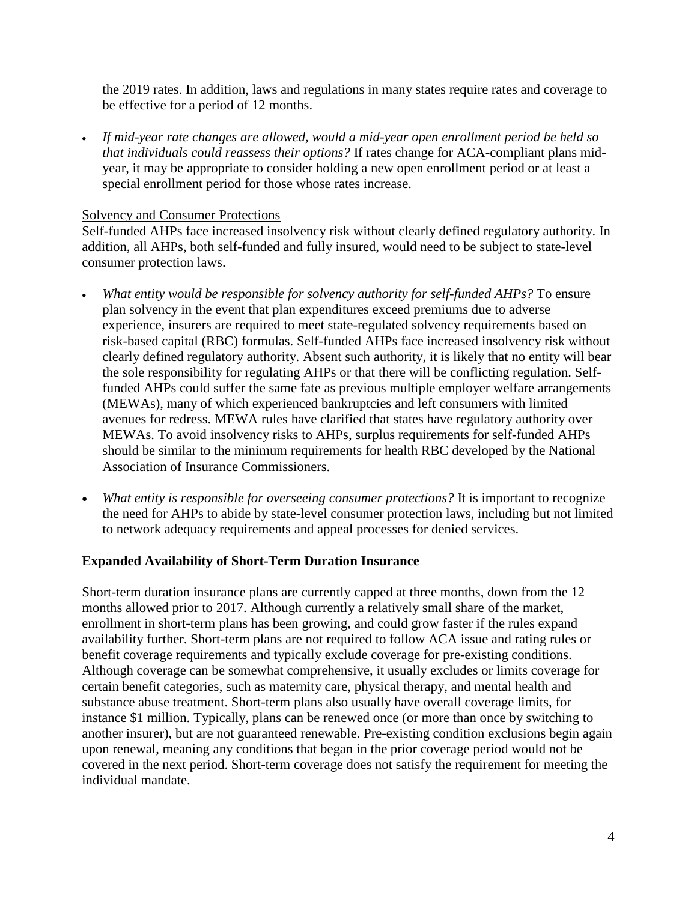the 2019 rates. In addition, laws and regulations in many states require rates and coverage to be effective for a period of 12 months.

• *If mid-year rate changes are allowed, would a mid-year open enrollment period be held so that individuals could reassess their options?* If rates change for ACA-compliant plans midyear, it may be appropriate to consider holding a new open enrollment period or at least a special enrollment period for those whose rates increase.

#### Solvency and Consumer Protections

Self-funded AHPs face increased insolvency risk without clearly defined regulatory authority. In addition, all AHPs, both self-funded and fully insured, would need to be subject to state-level consumer protection laws.

- *What entity would be responsible for solvency authority for self-funded AHPs?* To ensure plan solvency in the event that plan expenditures exceed premiums due to adverse experience, insurers are required to meet state-regulated solvency requirements based on risk-based capital (RBC) formulas. Self-funded AHPs face increased insolvency risk without clearly defined regulatory authority. Absent such authority, it is likely that no entity will bear the sole responsibility for regulating AHPs or that there will be conflicting regulation. Selffunded AHPs could suffer the same fate as previous multiple employer welfare arrangements (MEWAs), many of which experienced bankruptcies and left consumers with limited avenues for redress. MEWA rules have clarified that states have regulatory authority over MEWAs. To avoid insolvency risks to AHPs, surplus requirements for self-funded AHPs should be similar to the minimum requirements for health RBC developed by the National Association of Insurance Commissioners.
- *What entity is responsible for overseeing consumer protections?* It is important to recognize the need for AHPs to abide by state-level consumer protection laws, including but not limited to network adequacy requirements and appeal processes for denied services.

#### **Expanded Availability of Short-Term Duration Insurance**

Short-term duration insurance plans are currently capped at three months, down from the 12 months allowed prior to 2017. Although currently a relatively small share of the market, enrollment in short-term plans has been growing, and could grow faster if the rules expand availability further. Short-term plans are not required to follow ACA issue and rating rules or benefit coverage requirements and typically exclude coverage for pre-existing conditions. Although coverage can be somewhat comprehensive, it usually excludes or limits coverage for certain benefit categories, such as maternity care, physical therapy, and mental health and substance abuse treatment. Short-term plans also usually have overall coverage limits, for instance \$1 million. Typically, plans can be renewed once (or more than once by switching to another insurer), but are not guaranteed renewable. Pre-existing condition exclusions begin again upon renewal, meaning any conditions that began in the prior coverage period would not be covered in the next period. Short-term coverage does not satisfy the requirement for meeting the individual mandate.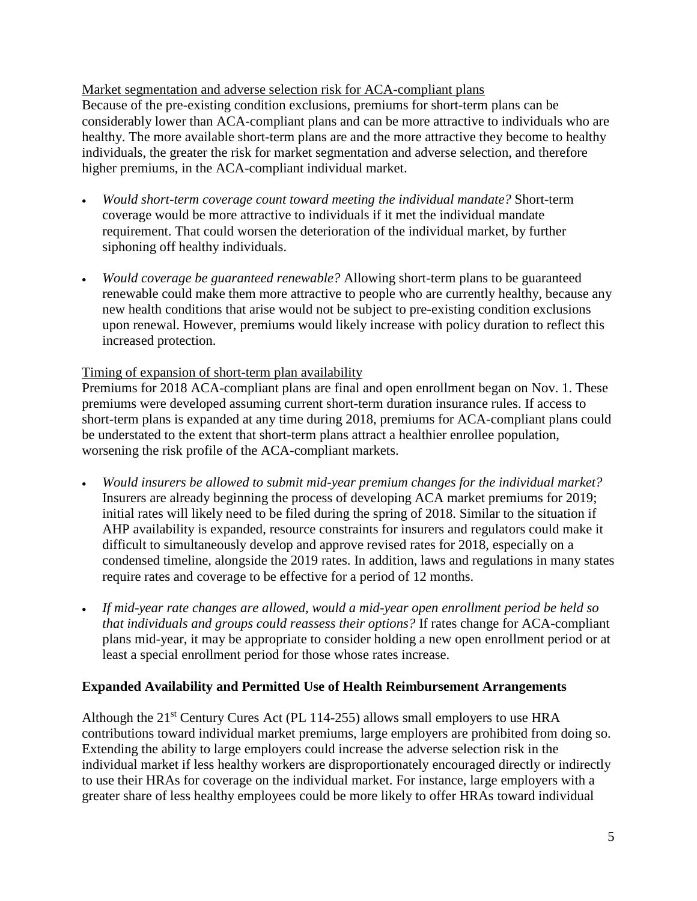Market segmentation and adverse selection risk for ACA-compliant plans

Because of the pre-existing condition exclusions, premiums for short-term plans can be considerably lower than ACA-compliant plans and can be more attractive to individuals who are healthy. The more available short-term plans are and the more attractive they become to healthy individuals, the greater the risk for market segmentation and adverse selection, and therefore higher premiums, in the ACA-compliant individual market.

- *Would short-term coverage count toward meeting the individual mandate?* Short-term coverage would be more attractive to individuals if it met the individual mandate requirement. That could worsen the deterioration of the individual market, by further siphoning off healthy individuals.
- *Would coverage be guaranteed renewable?* Allowing short-term plans to be guaranteed renewable could make them more attractive to people who are currently healthy, because any new health conditions that arise would not be subject to pre-existing condition exclusions upon renewal. However, premiums would likely increase with policy duration to reflect this increased protection.

# Timing of expansion of short-term plan availability

Premiums for 2018 ACA-compliant plans are final and open enrollment began on Nov. 1. These premiums were developed assuming current short-term duration insurance rules. If access to short-term plans is expanded at any time during 2018, premiums for ACA-compliant plans could be understated to the extent that short-term plans attract a healthier enrollee population, worsening the risk profile of the ACA-compliant markets.

- *Would insurers be allowed to submit mid-year premium changes for the individual market?* Insurers are already beginning the process of developing ACA market premiums for 2019; initial rates will likely need to be filed during the spring of 2018. Similar to the situation if AHP availability is expanded, resource constraints for insurers and regulators could make it difficult to simultaneously develop and approve revised rates for 2018, especially on a condensed timeline, alongside the 2019 rates. In addition, laws and regulations in many states require rates and coverage to be effective for a period of 12 months.
- *If mid-year rate changes are allowed, would a mid-year open enrollment period be held so that individuals and groups could reassess their options?* If rates change for ACA-compliant plans mid-year, it may be appropriate to consider holding a new open enrollment period or at least a special enrollment period for those whose rates increase.

# **Expanded Availability and Permitted Use of Health Reimbursement Arrangements**

Although the  $21<sup>st</sup>$  Century Cures Act (PL 114-255) allows small employers to use HRA contributions toward individual market premiums, large employers are prohibited from doing so. Extending the ability to large employers could increase the adverse selection risk in the individual market if less healthy workers are disproportionately encouraged directly or indirectly to use their HRAs for coverage on the individual market. For instance, large employers with a greater share of less healthy employees could be more likely to offer HRAs toward individual